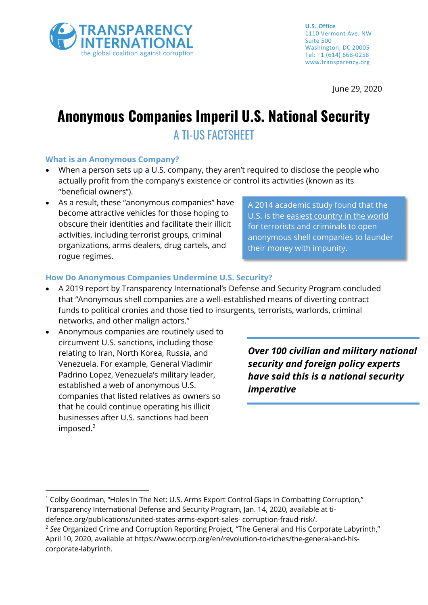

June 29, 2020

# **Anonymous Companies Imperil U.S. National Security** A TI-US FACTSHEET

#### **What is an Anonymous Company?**

- When a person sets up a U.S. company, they aren't required to disclose the people who actually profit from the company's existence or control its activities (known as its "beneficial owners").
- As a result, these "anonymous companies" have become attractive vehicles for those hoping to obscure their identities and facilitate their illicit activities, including terrorist groups, criminal organizations, arms dealers, drug cartels, and rogue regimes.

A 2014 academic study found that the U.S. is the easiest country in the world for terrorists and criminals to open anonymous shell companies to launder their money with impunity.

#### **How Do Anonymous Companies Undermine U.S. Security?**

- A 2019 report by Transparency International's Defense and Security Program concluded that "Anonymous shell companies are a well-established means of diverting contract funds to political cronies and those tied to insurgents, terrorists, warlords, criminal networks, and other malign actors."<sup>1</sup>
- Anonymous companies are routinely used to circumvent U.S. sanctions, including those relating to Iran, North Korea, Russia, and Venezuela. For example, General Vladimir Padrino Lopez, Venezuela's military leader, established a web of anonymous U.S. companies that listed relatives as owners so that he could continue operating his illicit businesses after U.S. sanctions had been imposed.<sup>2</sup>

*Over 100 civilian and military national security and foreign policy experts have said this is a national security imperative*

<sup>&</sup>lt;sup>1</sup> Colby Goodman, "Holes In The Net: U.S. Arms Export Control Gaps In Combatting Corruption," Transparency International Defense and Security Program, Jan. 14, 2020, available at tidefence.org/publications/united-states-arms-export-sales- corruption-fraud-risk/.

<sup>2</sup> *See* Organized Crime and Corruption Reporting Project, "The General and His Corporate Labyrinth," April 10, 2020, available at https://www.occrp.org/en/revolution-to-riches/the-general-and-hiscorporate-labyrinth.